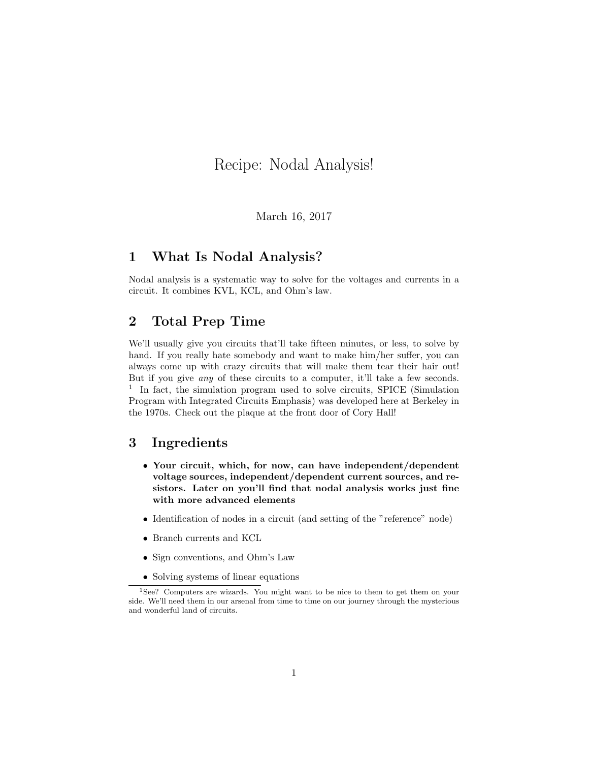# Recipe: Nodal Analysis!

March 16, 2017

#### 1 What Is Nodal Analysis?

Nodal analysis is a systematic way to solve for the voltages and currents in a circuit. It combines KVL, KCL, and Ohm's law.

### 2 Total Prep Time

We'll usually give you circuits that'll take fifteen minutes, or less, to solve by hand. If you really hate somebody and want to make him/her suffer, you can always come up with crazy circuits that will make them tear their hair out! But if you give any of these circuits to a computer, it'll take a few seconds. <sup>1</sup> In fact, the simulation program used to solve circuits, SPICE (Simulation Program with Integrated Circuits Emphasis) was developed here at Berkeley in the 1970s. Check out the plaque at the front door of Cory Hall!

## 3 Ingredients

- Your circuit, which, for now, can have independent/dependent voltage sources, independent/dependent current sources, and resistors. Later on you'll find that nodal analysis works just fine with more advanced elements
- Identification of nodes in a circuit (and setting of the "reference" node)
- Branch currents and KCL
- Sign conventions, and Ohm's Law
- Solving systems of linear equations

<sup>1</sup>See? Computers are wizards. You might want to be nice to them to get them on your side. We'll need them in our arsenal from time to time on our journey through the mysterious and wonderful land of circuits.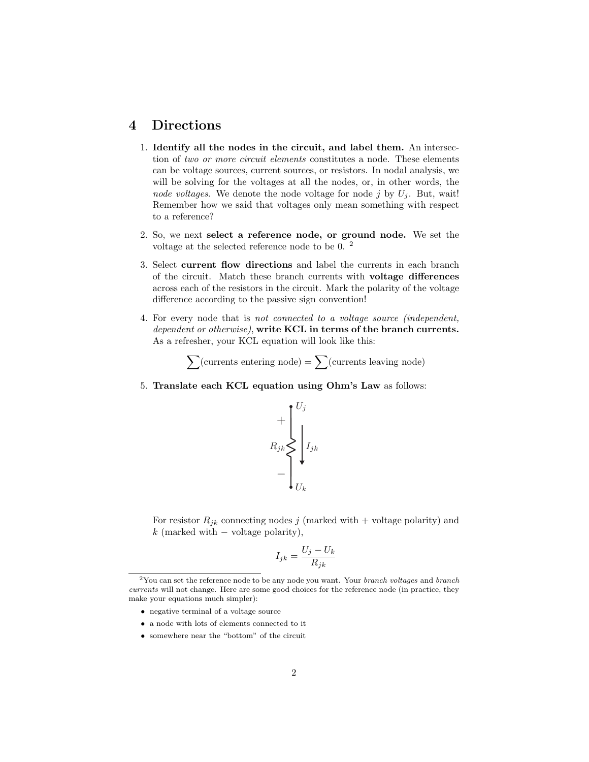## 4 Directions

- 1. Identify all the nodes in the circuit, and label them. An intersection of two or more circuit elements constitutes a node. These elements can be voltage sources, current sources, or resistors. In nodal analysis, we will be solving for the voltages at all the nodes, or, in other words, the node voltages. We denote the node voltage for node j by  $U_i$ . But, wait! Remember how we said that voltages only mean something with respect to a reference?
- 2. So, we next select a reference node, or ground node. We set the voltage at the selected reference node to be 0. <sup>2</sup>
- 3. Select current flow directions and label the currents in each branch of the circuit. Match these branch currents with voltage differences across each of the resistors in the circuit. Mark the polarity of the voltage difference according to the passive sign convention!
- 4. For every node that is not connected to a voltage source (independent, dependent or otherwise), write KCL in terms of the branch currents. As a refresher, your KCL equation will look like this:

 $\sum$ (currents entering node) =  $\sum$ (currents leaving node)

5. Translate each KCL equation using Ohm's Law as follows:



For resistor  $R_{jk}$  connecting nodes j (marked with + voltage polarity) and k (marked with  $-$  voltage polarity),

$$
I_{jk} = \frac{U_j - U_k}{R_{jk}}
$$

- negative terminal of a voltage source
- a node with lots of elements connected to it
- somewhere near the "bottom" of the circuit

 $2$ You can set the reference node to be any node you want. Your *branch voltages* and *branch* currents will not change. Here are some good choices for the reference node (in practice, they make your equations much simpler):